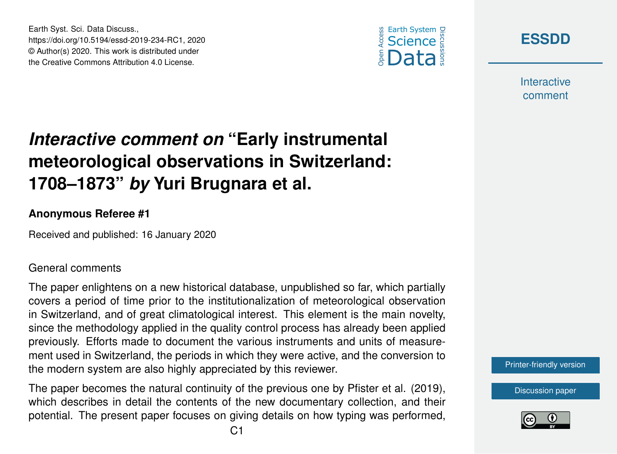



**Interactive** comment

## *Interactive comment on* **"Early instrumental meteorological observations in Switzerland: 1708–1873"** *by* **Yuri Brugnara et al.**

## **Anonymous Referee #1**

Earth Syst. Sci. Data Discuss.,

https://doi.org/10.5194/essd-2019-234-RC1, 2020 © Author(s) 2020. This work is distributed under the Creative Commons Attribution 4.0 License.

Received and published: 16 January 2020

## General comments

The paper enlightens on a new historical database, unpublished so far, which partially covers a period of time prior to the institutionalization of meteorological observation in Switzerland, and of great climatological interest. This element is the main novelty, since the methodology applied in the quality control process has already been applied previously. Efforts made to document the various instruments and units of measurement used in Switzerland, the periods in which they were active, and the conversion to the modern system are also highly appreciated by this reviewer.

The paper becomes the natural continuity of the previous one by Pfister et al. (2019), which describes in detail the contents of the new documentary collection, and their potential. The present paper focuses on giving details on how typing was performed, [Printer-friendly version](https://www.earth-syst-sci-data-discuss.net/essd-2019-234/essd-2019-234-RC1-print.pdf)

[Discussion paper](https://www.earth-syst-sci-data-discuss.net/essd-2019-234)

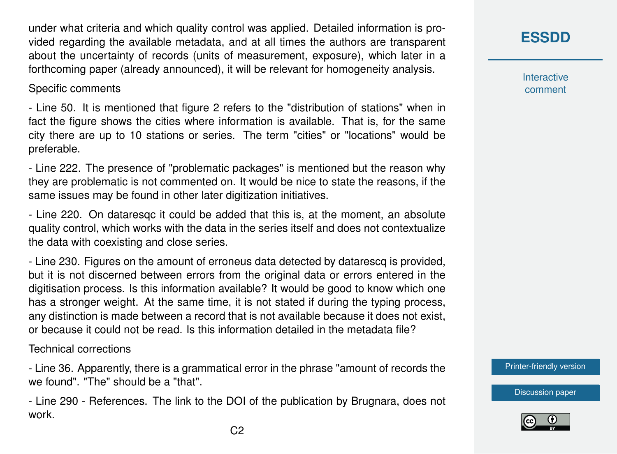under what criteria and which quality control was applied. Detailed information is provided regarding the available metadata, and at all times the authors are transparent about the uncertainty of records (units of measurement, exposure), which later in a forthcoming paper (already announced), it will be relevant for homogeneity analysis.

Specific comments

- Line 50. It is mentioned that figure 2 refers to the "distribution of stations" when in fact the figure shows the cities where information is available. That is, for the same city there are up to 10 stations or series. The term "cities" or "locations" would be preferable.

- Line 222. The presence of "problematic packages" is mentioned but the reason why they are problematic is not commented on. It would be nice to state the reasons, if the same issues may be found in other later digitization initiatives.

- Line 220. On dataresqc it could be added that this is, at the moment, an absolute quality control, which works with the data in the series itself and does not contextualize the data with coexisting and close series.

- Line 230. Figures on the amount of erroneus data detected by datarescq is provided, but it is not discerned between errors from the original data or errors entered in the digitisation process. Is this information available? It would be good to know which one has a stronger weight. At the same time, it is not stated if during the typing process, any distinction is made between a record that is not available because it does not exist, or because it could not be read. Is this information detailed in the metadata file?

Technical corrections

- Line 36. Apparently, there is a grammatical error in the phrase "amount of records the we found". "The" should be a "that".

- Line 290 - References. The link to the DOI of the publication by Brugnara, does not work.

Interactive comment

[Printer-friendly version](https://www.earth-syst-sci-data-discuss.net/essd-2019-234/essd-2019-234-RC1-print.pdf)

[Discussion paper](https://www.earth-syst-sci-data-discuss.net/essd-2019-234)